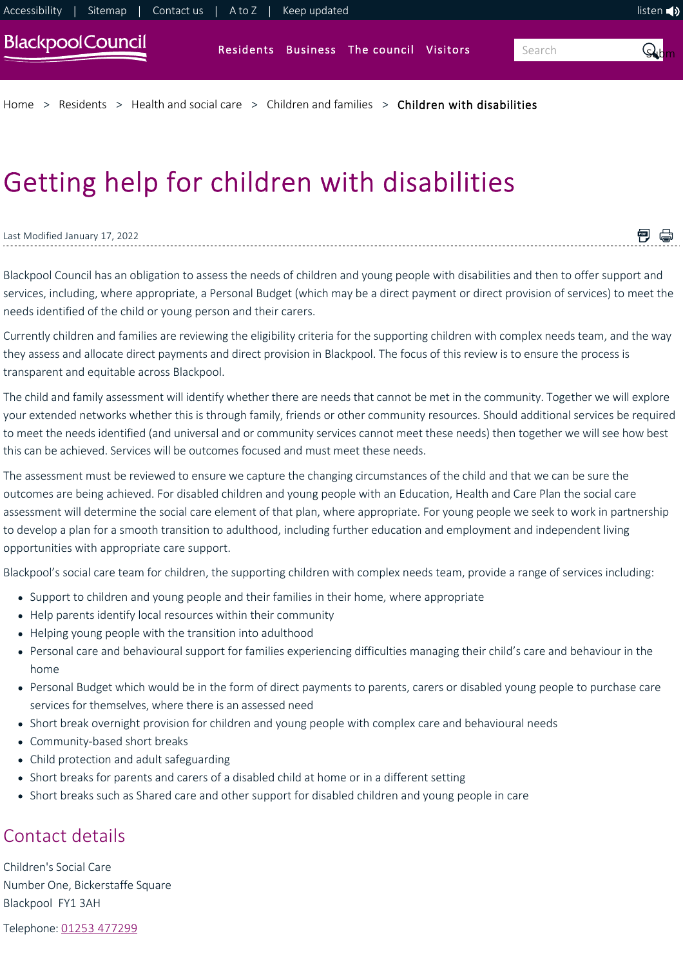[Home](https://www.blackpool.gov.uk/Home.aspx) > [Residents](https://www.blackpool.gov.uk/Residents/Residents.aspx) > [Health and social care](https://www.blackpool.gov.uk/Residents/Health-and-social-care/Health-and-social-care.aspx) > [Children and families](https://www.blackpool.gov.uk/Residents/Health-and-social-care/Children-and-families/Children-and-young-people.aspx) > [Children with disabilities](https://www.blackpool.gov.uk/Residents/Health-and-social-care/Children-and-families/Children-with-disabilities/Getting-help-for-children-with-disabilities.aspx)

# Getting help for children with disabilities

#### Last Modified January 17, 2022

<span id="page-0-0"></span>Blackpool Council has an obligation to assess the needs of children and young people with disabilities and then to offer support and services, including, where appropriate, a Personal Budget (which may be a direct payment or direct provision of services) to meet the needs identified of the child or young person and their carers.

■ ●

Currently children and families are reviewing the eligibility criteria for the supporting children with complex needs team, and the way they assess and allocate direct payments and direct provision in Blackpool. The focus of this review is to ensure the process is transparent and equitable across Blackpool.

The child and family assessment will identify whether there are needs that cannot be met in the community. Together we will explore your extended networks whether this is through family, friends or other community resources. Should additional services be required to meet the needs identified (and universal and or community services cannot meet these needs) then together we will see how best this can be achieved. Services will be outcomes focused and must meet these needs.

The assessment must be reviewed to ensure we capture the changing circumstances of the child and that we can be sure the outcomes are being achieved. For disabled children and young people with an Education, Health and Care Plan the social care assessment will determine the social care element of that plan, where appropriate. For young people we seek to work in partnership to develop a plan for a smooth transition to adulthood, including further education and employment and independent living opportunities with appropriate care support.

Blackpool's social care team for children, the supporting children with complex needs team, provide a range of services including:

- Support to children and young people and their families in their home, where appropriate
- Help parents identify local resources within their community
- Helping young people with the transition into adulthood
- Personal care and behavioural support for families experiencing difficulties managing their child's care and behaviour in the home
- Personal Budget which would be in the form of direct payments to parents, carers or disabled young people to purchase care services for themselves, where there is an assessed need
- Short break overnight provision for children and young people with complex care and behavioural needs
- Community-based short breaks
- Child protection and adult safeguarding
- Short breaks for parents and carers of a disabled child at home or in a different setting
- Short breaks such as Shared care and other support for disabled children and young people in care

# Contact details

Children's Social Care Number One, Bickerstaffe Square Blackpool FY1 3AH

Telephone: [01253 477299](tel:01253%20477299)